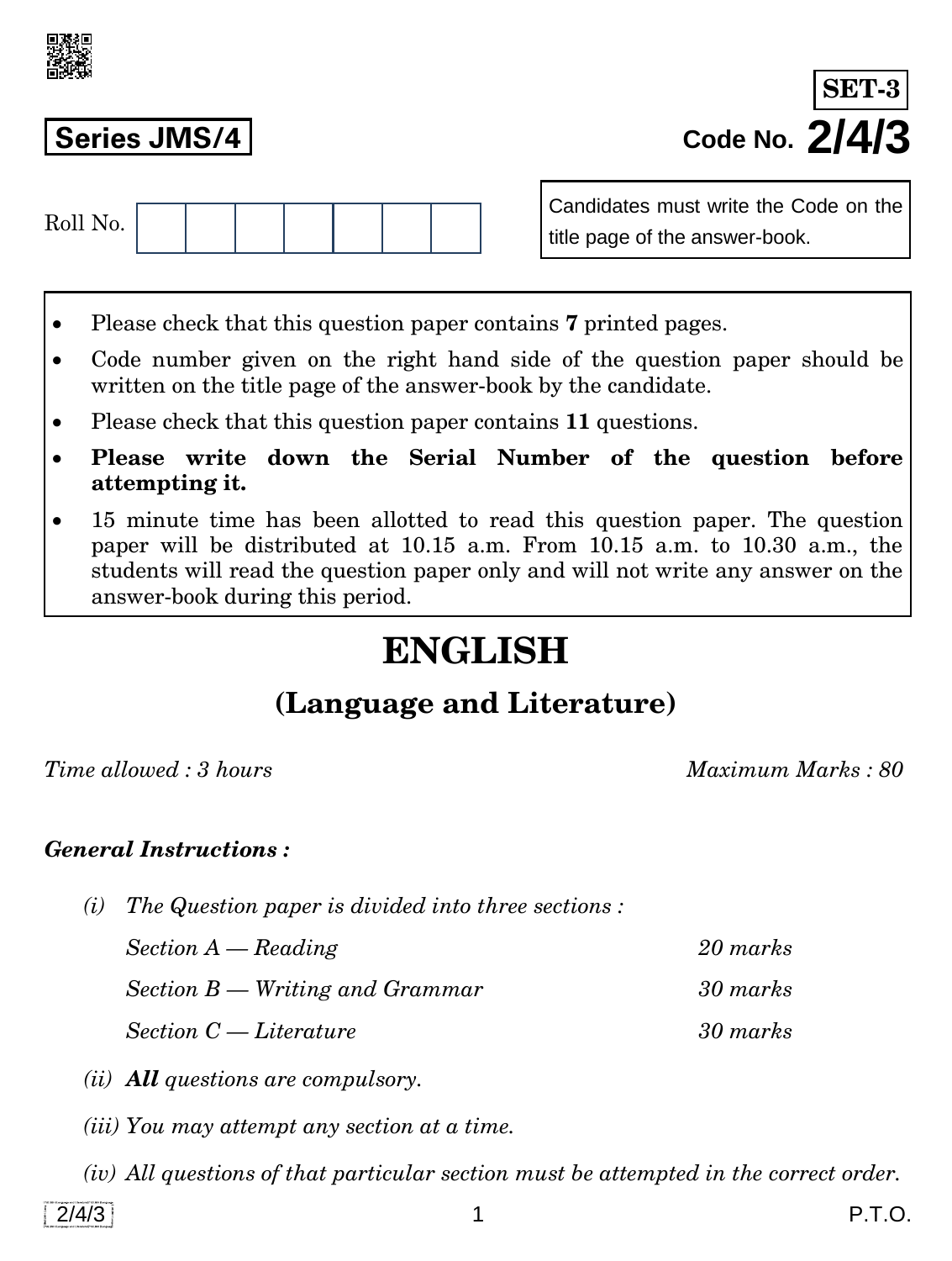

**Series JMS/4 Code No. 2/4/3 SET-3**

| $D011$ M.<br>$\textcolor{blue}{\text{100}}$ 10. |  |  |  |  |
|-------------------------------------------------|--|--|--|--|
|                                                 |  |  |  |  |

Candidates must write the Code on the title page of the answer-book.

- Please check that this question paper contains **7** printed pages.
- Code number given on the right hand side of the question paper should be written on the title page of the answer-book by the candidate.
- Please check that this question paper contains **11** questions.
- **Please write down the Serial Number of the question before attempting it.**
- 15 minute time has been allotted to read this question paper. The question paper will be distributed at 10.15 a.m. From 10.15 a.m. to 10.30 a.m., the students will read the question paper only and will not write any answer on the answer-book during this period.

# **ENGLISH**

# **(Language and Literature)**

*Time allowed : 3 hours Maximum Marks : 80*

### *General Instructions :*

*(i) The Question paper is divided into three sections :* 

*Section A — Reading 20 marks Section B — Writing and Grammar 30 marks Section C — Literature 30 marks* 

- *(ii) All questions are compulsory.*
- *(iii) You may attempt any section at a time.*
- *(iv) All questions of that particular section must be attempted in the correct order.*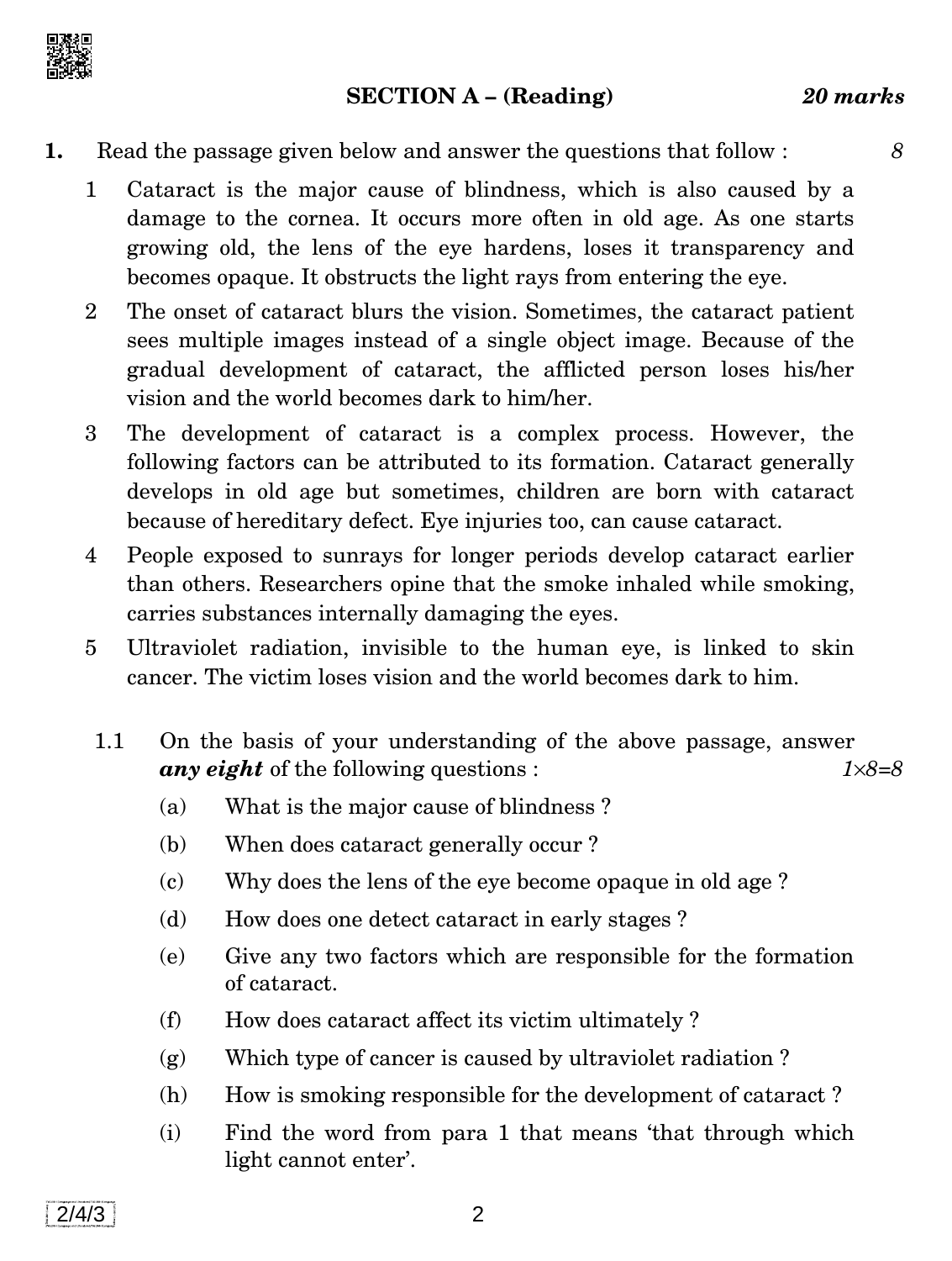

#### **SECTION A – (Reading)** *20 marks*

- **1.** Read the passage given below and answer the questions that follow : *8*
	- 1 Cataract is the major cause of blindness, which is also caused by a damage to the cornea. It occurs more often in old age. As one starts growing old, the lens of the eye hardens, loses it transparency and becomes opaque. It obstructs the light rays from entering the eye.
	- 2 The onset of cataract blurs the vision. Sometimes, the cataract patient sees multiple images instead of a single object image. Because of the gradual development of cataract, the afflicted person loses his/her vision and the world becomes dark to him/her.
	- 3 The development of cataract is a complex process. However, the following factors can be attributed to its formation. Cataract generally develops in old age but sometimes, children are born with cataract because of hereditary defect. Eye injuries too, can cause cataract.
	- 4 People exposed to sunrays for longer periods develop cataract earlier than others. Researchers opine that the smoke inhaled while smoking, carries substances internally damaging the eyes.
	- 5 Ultraviolet radiation, invisible to the human eye, is linked to skin cancer. The victim loses vision and the world becomes dark to him.
	- 1.1 On the basis of your understanding of the above passage, answer *any eight* of the following questions : *18=8*
		- (a) What is the major cause of blindness ?
		- (b) When does cataract generally occur ?
		- (c) Why does the lens of the eye become opaque in old age ?
		- (d) How does one detect cataract in early stages ?
		- (e) Give any two factors which are responsible for the formation of cataract.
		- (f) How does cataract affect its victim ultimately ?
		- (g) Which type of cancer is caused by ultraviolet radiation ?
		- (h) How is smoking responsible for the development of cataract ?
		- (i) Find the word from para 1 that means 'that through which light cannot enter'.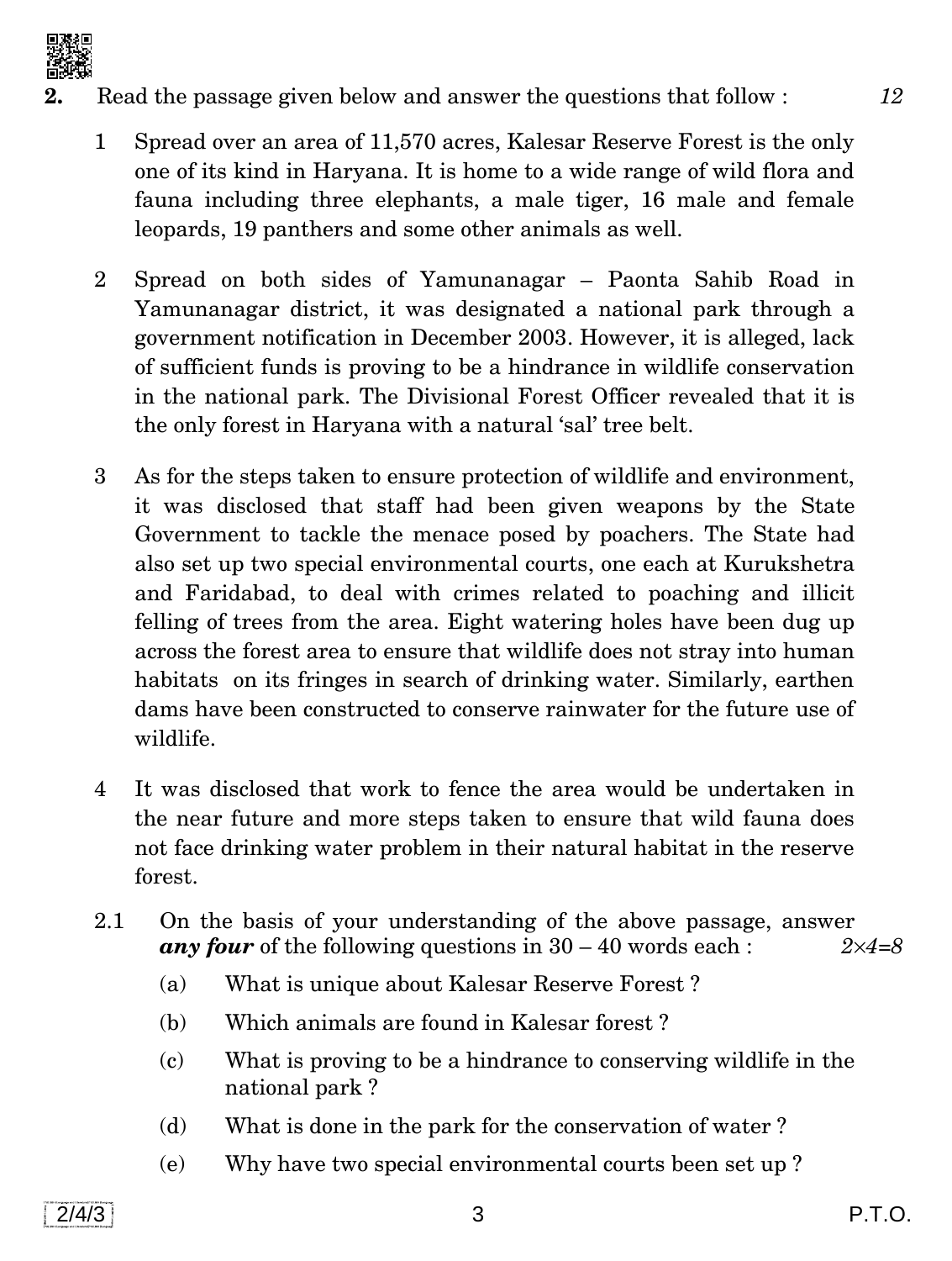

- **2.** Read the passage given below and answer the questions that follow : *12*
	- 1 Spread over an area of 11,570 acres, Kalesar Reserve Forest is the only one of its kind in Haryana. It is home to a wide range of wild flora and fauna including three elephants, a male tiger, 16 male and female leopards, 19 panthers and some other animals as well.
	- 2 Spread on both sides of Yamunanagar Paonta Sahib Road in Yamunanagar district, it was designated a national park through a government notification in December 2003. However, it is alleged, lack of sufficient funds is proving to be a hindrance in wildlife conservation in the national park. The Divisional Forest Officer revealed that it is the only forest in Haryana with a natural 'sal' tree belt.
	- 3 As for the steps taken to ensure protection of wildlife and environment, it was disclosed that staff had been given weapons by the State Government to tackle the menace posed by poachers. The State had also set up two special environmental courts, one each at Kurukshetra and Faridabad, to deal with crimes related to poaching and illicit felling of trees from the area. Eight watering holes have been dug up across the forest area to ensure that wildlife does not stray into human habitats on its fringes in search of drinking water. Similarly, earthen dams have been constructed to conserve rainwater for the future use of wildlife.
	- 4 It was disclosed that work to fence the area would be undertaken in the near future and more steps taken to ensure that wild fauna does not face drinking water problem in their natural habitat in the reserve forest.
	- 2.1 On the basis of your understanding of the above passage, answer *any four* of the following questions in 30 – 40 words each : *24=8*
		- (a) What is unique about Kalesar Reserve Forest ?
		- (b) Which animals are found in Kalesar forest ?
		- (c) What is proving to be a hindrance to conserving wildlife in the national park ?
		- (d) What is done in the park for the conservation of water ?
		- (e) Why have two special environmental courts been set up ?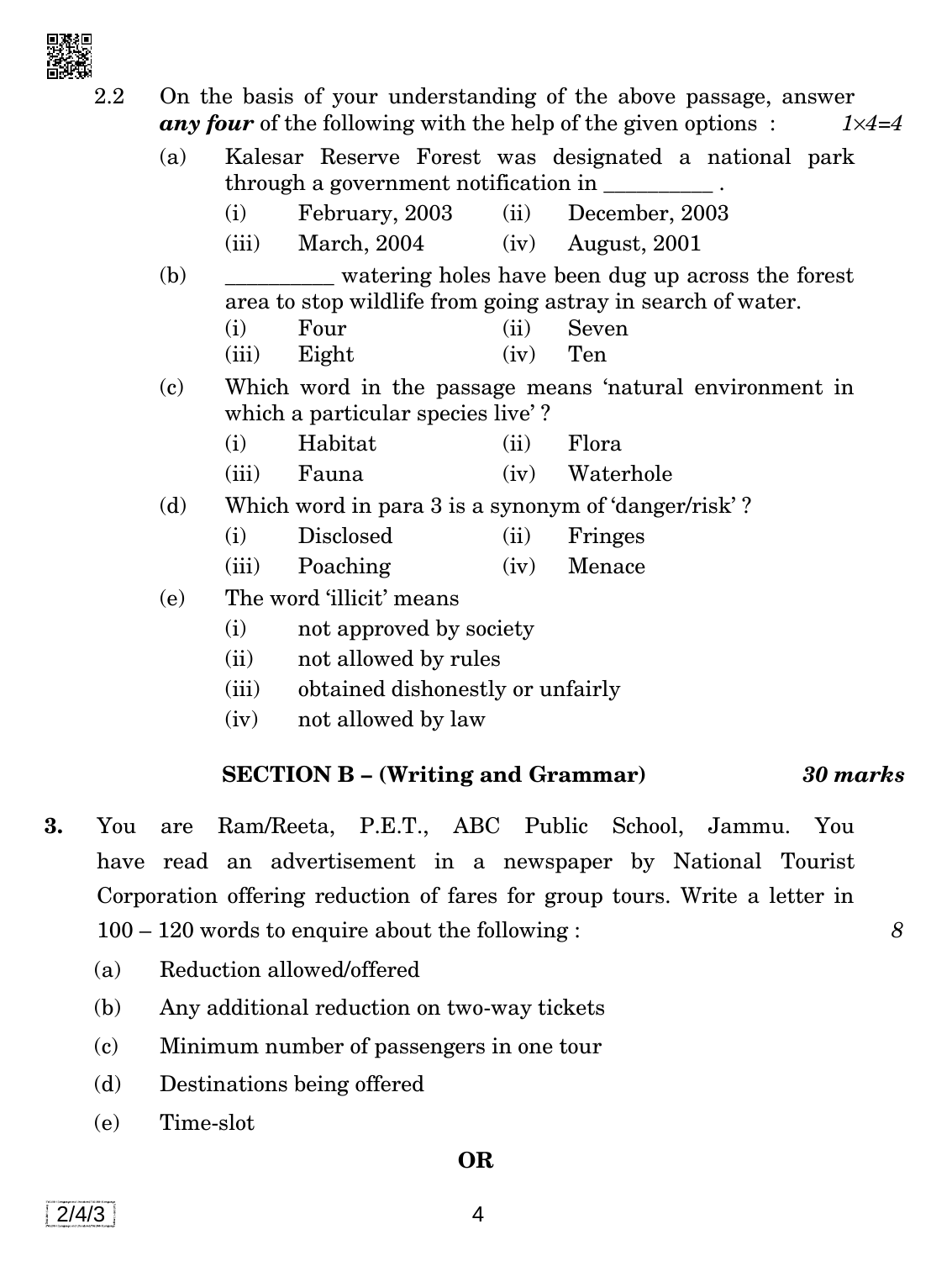

| $2.2\,$ |                                                          |                                                                                                                                                                                                                                                                                                                                                                                                   |                            |      | On the basis of your understanding of the above passage, answer                          |  |  |  |  |  |
|---------|----------------------------------------------------------|---------------------------------------------------------------------------------------------------------------------------------------------------------------------------------------------------------------------------------------------------------------------------------------------------------------------------------------------------------------------------------------------------|----------------------------|------|------------------------------------------------------------------------------------------|--|--|--|--|--|
|         |                                                          |                                                                                                                                                                                                                                                                                                                                                                                                   |                            |      | <b>any four</b> of the following with the help of the given options:<br>$1 \times 4 = 4$ |  |  |  |  |  |
|         | (a)                                                      |                                                                                                                                                                                                                                                                                                                                                                                                   |                            |      | Kalesar Reserve Forest was designated a national park                                    |  |  |  |  |  |
|         |                                                          | through a government notification in $\frac{1}{\sqrt{1-\frac{1}{\sqrt{1-\frac{1}{\sqrt{1-\frac{1}{\sqrt{1-\frac{1}{\sqrt{1-\frac{1}{\sqrt{1-\frac{1}{\sqrt{1-\frac{1}{\sqrt{1-\frac{1}{\sqrt{1-\frac{1}{\sqrt{1-\frac{1}{\sqrt{1-\frac{1}{\sqrt{1-\frac{1}{\sqrt{1-\frac{1}{\sqrt{1-\frac{1}{\sqrt{1-\frac{1}{\sqrt{1-\frac{1}{\sqrt{1-\frac{1}{\sqrt{1-\frac{1}{\sqrt{1-\frac{1}{\sqrt{1-\frac{$ |                            |      |                                                                                          |  |  |  |  |  |
|         |                                                          | (i)                                                                                                                                                                                                                                                                                                                                                                                               | February, 2003             | (ii) | December, 2003                                                                           |  |  |  |  |  |
|         |                                                          | (iii)                                                                                                                                                                                                                                                                                                                                                                                             | March, 2004                |      | $(iv)$ August, 2001                                                                      |  |  |  |  |  |
|         | (b)<br>watering holes have been dug up across the forest |                                                                                                                                                                                                                                                                                                                                                                                                   |                            |      |                                                                                          |  |  |  |  |  |
|         |                                                          | area to stop wildlife from going astray in search of water.                                                                                                                                                                                                                                                                                                                                       |                            |      |                                                                                          |  |  |  |  |  |
|         |                                                          | (i)                                                                                                                                                                                                                                                                                                                                                                                               | Four                       | (ii) | Seven                                                                                    |  |  |  |  |  |
|         |                                                          | (iii)                                                                                                                                                                                                                                                                                                                                                                                             | Eight                      | (iv) | Ten                                                                                      |  |  |  |  |  |
|         | (c)                                                      | Which word in the passage means 'natural environment in                                                                                                                                                                                                                                                                                                                                           |                            |      |                                                                                          |  |  |  |  |  |
|         |                                                          | which a particular species live'?                                                                                                                                                                                                                                                                                                                                                                 |                            |      |                                                                                          |  |  |  |  |  |
|         |                                                          | (i)                                                                                                                                                                                                                                                                                                                                                                                               | Habitat                    | (ii) | Flora                                                                                    |  |  |  |  |  |
|         |                                                          | (iii)                                                                                                                                                                                                                                                                                                                                                                                             | Fauna                      | (iv) | Waterhole                                                                                |  |  |  |  |  |
|         | (d)                                                      | Which word in para 3 is a synonym of 'danger/risk'?                                                                                                                                                                                                                                                                                                                                               |                            |      |                                                                                          |  |  |  |  |  |
|         |                                                          | (i)                                                                                                                                                                                                                                                                                                                                                                                               | Disclosed                  | (ii) | Fringes                                                                                  |  |  |  |  |  |
|         |                                                          | (iii)                                                                                                                                                                                                                                                                                                                                                                                             | Poaching                   | (iv) | Menace                                                                                   |  |  |  |  |  |
|         | (e)                                                      | The word 'illicit' means                                                                                                                                                                                                                                                                                                                                                                          |                            |      |                                                                                          |  |  |  |  |  |
|         |                                                          | (i)<br>not approved by society                                                                                                                                                                                                                                                                                                                                                                    |                            |      |                                                                                          |  |  |  |  |  |
|         |                                                          |                                                                                                                                                                                                                                                                                                                                                                                                   | $(i)$ not allowed by rules |      |                                                                                          |  |  |  |  |  |

- (ii) not allowed by rules
- (iii) obtained dishonestly or unfairly
- (iv) not allowed by law

# **SECTION B – (Writing and Grammar)** *30 marks*

- **3.** You are Ram/Reeta, P.E.T., ABC Public School, Jammu. You have read an advertisement in a newspaper by National Tourist Corporation offering reduction of fares for group tours. Write a letter in 100 – 120 words to enquire about the following : *8*
	- (a) Reduction allowed/offered
	- (b) Any additional reduction on two-way tickets
	- (c) Minimum number of passengers in one tour
	- (d) Destinations being offered
	- (e) Time-slot

#### **OR**

 $2/4/3$  4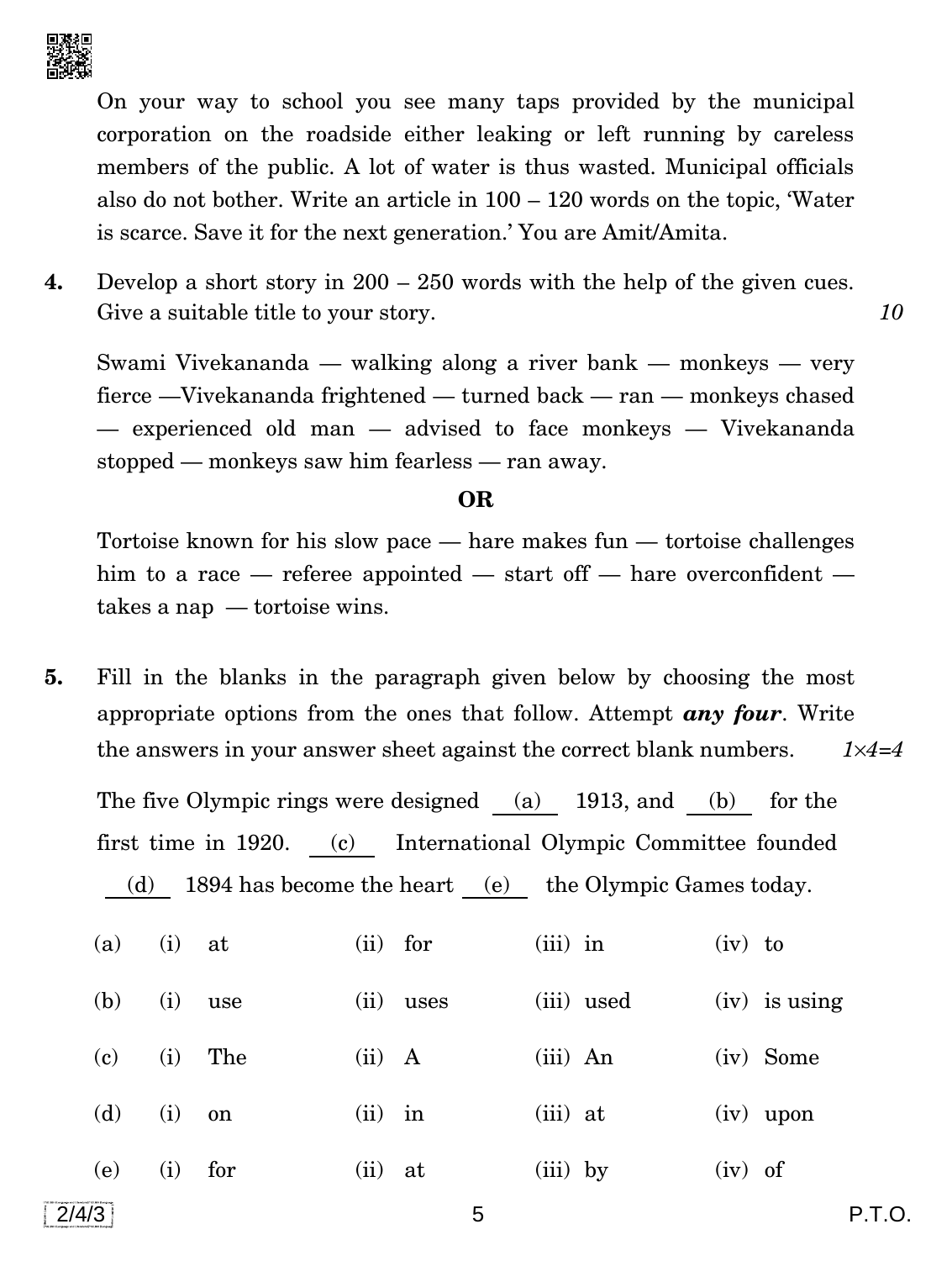

On your way to school you see many taps provided by the municipal corporation on the roadside either leaking or left running by careless members of the public. A lot of water is thus wasted. Municipal officials also do not bother. Write an article in 100 – 120 words on the topic, 'Water is scarce. Save it for the next generation.' You are Amit/Amita.

**4.** Develop a short story in 200 – 250 words with the help of the given cues. Give a suitable title to your story. **10** 

Swami Vivekananda — walking along a river bank — monkeys — very fierce —Vivekananda frightened — turned back — ran — monkeys chased — experienced old man — advised to face monkeys — Vivekananda stopped — monkeys saw him fearless — ran away.

#### **OR**

Tortoise known for his slow pace — hare makes fun — tortoise challenges him to a race — referee appointed — start off — hare overconfident takes a nap — tortoise wins.

**5.** Fill in the blanks in the paragraph given below by choosing the most appropriate options from the ones that follow. Attempt *any four*. Write the answers in your answer sheet against the correct blank numbers. *14=4*

The five Olympic rings were designed (a) 1913, and (b) for the first time in 1920. (c) International Olympic Committee founded (d) 1894 has become the heart (e) the Olympic Games today.

| (a) | (i) | at  | $(ii)$ for |      | $(iii)$ in | $(iv)$ to |                 |
|-----|-----|-----|------------|------|------------|-----------|-----------------|
| (b) | (i) | use | (ii)       | uses | (iii) used |           | $(iv)$ is using |
| (c) | (i) | The | $(ii)$ A   |      | $(iii)$ An |           | (iv) Some       |
| (d) | (i) | on  | $(ii)$ in  |      | $(iii)$ at |           | $(iv)$ upon     |
| (e) | (i) | for | $(ii)$ at  |      | $(iii)$ by | $(iv)$ of |                 |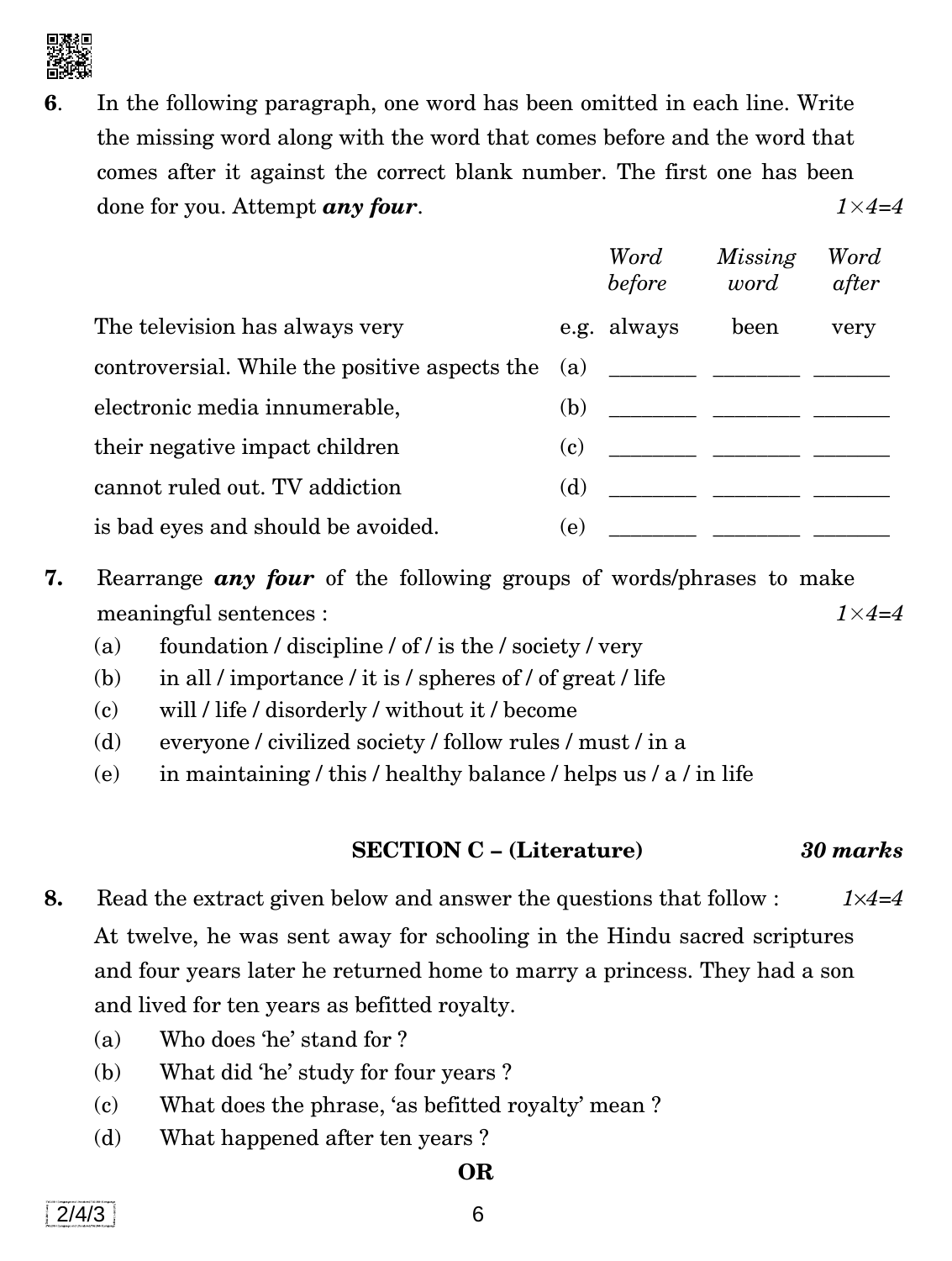

**6**. In the following paragraph, one word has been omitted in each line. Write the missing word along with the word that comes before and the word that comes after it against the correct blank number. The first one has been done for you. Attempt *any four*. *1*×*4=4*

|                                               |     | Word<br>before | Missing<br>word                            | Word<br>after |
|-----------------------------------------------|-----|----------------|--------------------------------------------|---------------|
| The television has always very                |     | e.g. always    | been                                       | very          |
| controversial. While the positive aspects the |     |                |                                            |               |
| electronic media innumerable,                 | (b) |                |                                            |               |
| their negative impact children                | (c) |                |                                            |               |
| cannot ruled out. TV addiction                | (d) |                |                                            |               |
| is bad eyes and should be avoided.            | (e) |                | <u> 1986 - Jan Bernard Barbara, manala</u> |               |

- **7.** Rearrange *any four* of the following groups of words/phrases to make meaningful sentences : *1*×*4=4*
	- (a) foundation / discipline / of / is the / society / very
	- (b) in all / importance / it is / spheres of / of great / life
	- (c) will / life / disorderly / without it / become
	- (d) everyone / civilized society / follow rules / must / in a
	- (e) in maintaining / this / healthy balance / helps us / a / in life

# **SECTION C – (Literature)** *30 marks*

- **8.** Read the extract given below and answer the questions that follow : *14=4* At twelve, he was sent away for schooling in the Hindu sacred scriptures and four years later he returned home to marry a princess. They had a son and lived for ten years as befitted royalty.
	- (a) Who does 'he' stand for ?
	- (b) What did 'he' study for four years ?
	- (c) What does the phrase, 'as befitted royalty' mean ?
	- (d) What happened after ten years ?

### **OR**